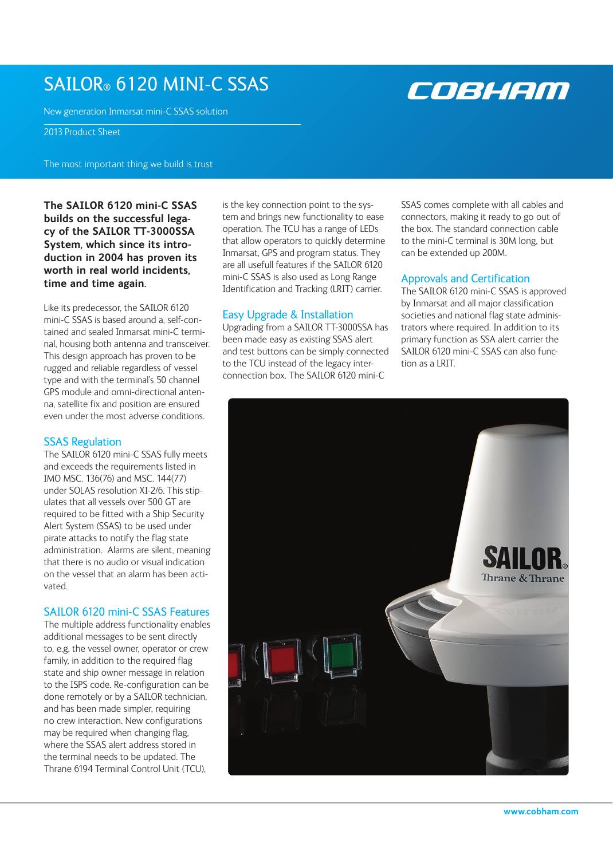# SAILOR® 6120 mini-c SSAS

New generation Inmarsat mini-C SSAS solution

2013 Product Sheet

The most important thing we build is trust

**The SAILOR 6120 mini-C SSAS builds on the successful legacy of the SAILOR TT-3000SSA System, which since its introduction in 2004 has proven its worth in real world incidents, time and time again.** 

Like its predecessor, the SAILOR 6120 mini-C SSAS is based around a, self-contained and sealed Inmarsat mini-C terminal, housing both antenna and transceiver. This design approach has proven to be rugged and reliable regardless of vessel type and with the terminal's 50 channel GPS module and omni-directional antenna, satellite fix and position are ensured even under the most adverse conditions.

# **SSAS Regulation**

The SAILOR 6120 mini-C SSAS fully meets and exceeds the requirements listed in IMO MSC. 136(76) and MSC. 144(77) under SOLAS resolution XI-2/6. This stipulates that all vessels over 500 GT are required to be fitted with a Ship Security Alert System (SSAS) to be used under pirate attacks to notify the flag state administration. Alarms are silent, meaning that there is no audio or visual indication on the vessel that an alarm has been activated.

# SAILOR 6120 mini-C SSAS Features

The multiple address functionality enables additional messages to be sent directly to, e.g. the vessel owner, operator or crew family, in addition to the required flag state and ship owner message in relation to the ISPS code. Re-configuration can be done remotely or by a SAILOR technician, and has been made simpler, requiring no crew interaction. New configurations may be required when changing flag, where the SSAS alert address stored in the terminal needs to be updated. The Thrane 6194 Terminal Control Unit (TCU),

is the key connection point to the system and brings new functionality to ease operation. The TCU has a range of LEDs that allow operators to quickly determine Inmarsat, GPS and program status. They are all usefull features if the SAILOR 6120 mini-C SSAS is also used as Long Range Identification and Tracking (LRIT) carrier.

# Easy Upgrade & Installation

Upgrading from a SAILOR TT-3000SSA has been made easy as existing SSAS alert and test buttons can be simply connected to the TCU instead of the legacy interconnection box. The SAILOR 6120 mini-C

SSAS comes complete with all cables and connectors, making it ready to go out of the box. The standard connection cable to the mini-C terminal is 30M long, but can be extended up 200M.

# Approvals and Certification

The SAILOR 6120 mini-C SSAS is approved by Inmarsat and all major classification societies and national flag state administrators where required. In addition to its primary function as SSA alert carrier the SAILOR 6120 mini-C SSAS can also function as a LRIT.